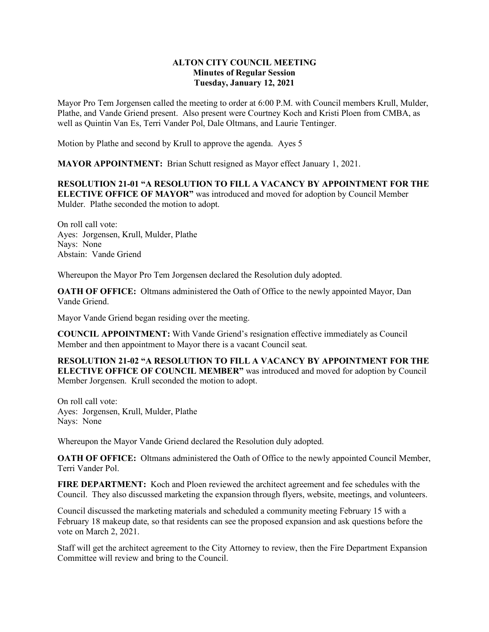## **ALTON CITY COUNCIL MEETING Minutes of Regular Session Tuesday, January 12, 2021**

Mayor Pro Tem Jorgensen called the meeting to order at 6:00 P.M. with Council members Krull, Mulder, Plathe, and Vande Griend present. Also present were Courtney Koch and Kristi Ploen from CMBA, as well as Quintin Van Es, Terri Vander Pol, Dale Oltmans, and Laurie Tentinger.

Motion by Plathe and second by Krull to approve the agenda. Ayes 5

**MAYOR APPOINTMENT:** Brian Schutt resigned as Mayor effect January 1, 2021.

**RESOLUTION 21-01 "A RESOLUTION TO FILL A VACANCY BY APPOINTMENT FOR THE ELECTIVE OFFICE OF MAYOR"** was introduced and moved for adoption by Council Member Mulder. Plathe seconded the motion to adopt.

On roll call vote: Ayes: Jorgensen, Krull, Mulder, Plathe Nays: None Abstain: Vande Griend

Whereupon the Mayor Pro Tem Jorgensen declared the Resolution duly adopted.

**OATH OF OFFICE:** Oltmans administered the Oath of Office to the newly appointed Mayor, Dan Vande Griend.

Mayor Vande Griend began residing over the meeting.

**COUNCIL APPOINTMENT:** With Vande Griend's resignation effective immediately as Council Member and then appointment to Mayor there is a vacant Council seat.

**RESOLUTION 21-02 "A RESOLUTION TO FILL A VACANCY BY APPOINTMENT FOR THE ELECTIVE OFFICE OF COUNCIL MEMBER"** was introduced and moved for adoption by Council Member Jorgensen. Krull seconded the motion to adopt.

On roll call vote: Ayes: Jorgensen, Krull, Mulder, Plathe Nays: None

Whereupon the Mayor Vande Griend declared the Resolution duly adopted.

**OATH OF OFFICE:** Oltmans administered the Oath of Office to the newly appointed Council Member, Terri Vander Pol.

**FIRE DEPARTMENT:** Koch and Ploen reviewed the architect agreement and fee schedules with the Council. They also discussed marketing the expansion through flyers, website, meetings, and volunteers.

Council discussed the marketing materials and scheduled a community meeting February 15 with a February 18 makeup date, so that residents can see the proposed expansion and ask questions before the vote on March 2, 2021.

Staff will get the architect agreement to the City Attorney to review, then the Fire Department Expansion Committee will review and bring to the Council.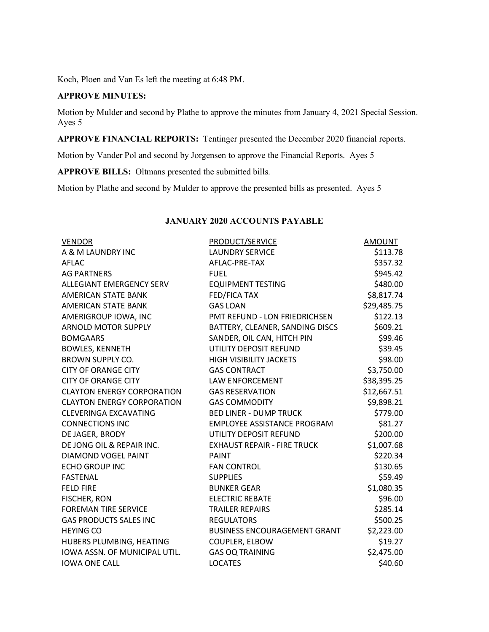Koch, Ploen and Van Es left the meeting at 6:48 PM.

## **APPROVE MINUTES:**

Motion by Mulder and second by Plathe to approve the minutes from January 4, 2021 Special Session. Ayes 5

**APPROVE FINANCIAL REPORTS:** Tentinger presented the December 2020 financial reports.

Motion by Vander Pol and second by Jorgensen to approve the Financial Reports. Ayes 5

**APPROVE BILLS:** Oltmans presented the submitted bills.

Motion by Plathe and second by Mulder to approve the presented bills as presented. Ayes 5

| <b>VENDOR</b>                     | PRODUCT/SERVICE                     | <b>AMOUNT</b> |
|-----------------------------------|-------------------------------------|---------------|
| A & M LAUNDRY INC                 | <b>LAUNDRY SERVICE</b>              | \$113.78      |
| AFLAC                             | AFLAC-PRE-TAX                       | \$357.32      |
| <b>AG PARTNERS</b>                | <b>FUEL</b>                         | \$945.42      |
| <b>ALLEGIANT EMERGENCY SERV</b>   | <b>EQUIPMENT TESTING</b>            | \$480.00      |
| AMERICAN STATE BANK               | <b>FED/FICA TAX</b>                 | \$8,817.74    |
| <b>AMERICAN STATE BANK</b>        | <b>GAS LOAN</b>                     | \$29,485.75   |
| AMERIGROUP IOWA, INC              | PMT REFUND - LON FRIEDRICHSEN       | \$122.13      |
| <b>ARNOLD MOTOR SUPPLY</b>        | BATTERY, CLEANER, SANDING DISCS     | \$609.21      |
| <b>BOMGAARS</b>                   | SANDER, OIL CAN, HITCH PIN          | \$99.46       |
| <b>BOWLES, KENNETH</b>            | UTILITY DEPOSIT REFUND              | \$39.45       |
| <b>BROWN SUPPLY CO.</b>           | <b>HIGH VISIBILITY JACKETS</b>      | \$98.00       |
| <b>CITY OF ORANGE CITY</b>        | <b>GAS CONTRACT</b>                 | \$3,750.00    |
| <b>CITY OF ORANGE CITY</b>        | LAW ENFORCEMENT                     | \$38,395.25   |
| <b>CLAYTON ENERGY CORPORATION</b> | <b>GAS RESERVATION</b>              | \$12,667.51   |
| <b>CLAYTON ENERGY CORPORATION</b> | <b>GAS COMMODITY</b>                | \$9,898.21    |
| <b>CLEVERINGA EXCAVATING</b>      | <b>BED LINER - DUMP TRUCK</b>       | \$779.00      |
| <b>CONNECTIONS INC</b>            | EMPLOYEE ASSISTANCE PROGRAM         | \$81.27       |
| DE JAGER, BRODY                   | UTILITY DEPOSIT REFUND              | \$200.00      |
| DE JONG OIL & REPAIR INC.         | <b>EXHAUST REPAIR - FIRE TRUCK</b>  | \$1,007.68    |
| DIAMOND VOGEL PAINT               | <b>PAINT</b>                        | \$220.34      |
| <b>ECHO GROUP INC</b>             | <b>FAN CONTROL</b>                  | \$130.65      |
| <b>FASTENAL</b>                   | <b>SUPPLIES</b>                     | \$59.49       |
| <b>FELD FIRE</b>                  | <b>BUNKER GEAR</b>                  | \$1,080.35    |
| FISCHER, RON                      | <b>ELECTRIC REBATE</b>              | \$96.00       |
| <b>FOREMAN TIRE SERVICE</b>       | <b>TRAILER REPAIRS</b>              | \$285.14      |
| <b>GAS PRODUCTS SALES INC</b>     | <b>REGULATORS</b>                   | \$500.25      |
| <b>HEYING CO</b>                  | <b>BUSINESS ENCOURAGEMENT GRANT</b> | \$2,223.00    |
| HUBERS PLUMBING, HEATING          | COUPLER, ELBOW                      | \$19.27       |
| IOWA ASSN. OF MUNICIPAL UTIL.     | <b>GAS OQ TRAINING</b>              | \$2,475.00    |
| <b>IOWA ONE CALL</b>              | <b>LOCATES</b>                      | \$40.60       |

## **JANUARY 2020 ACCOUNTS PAYABLE**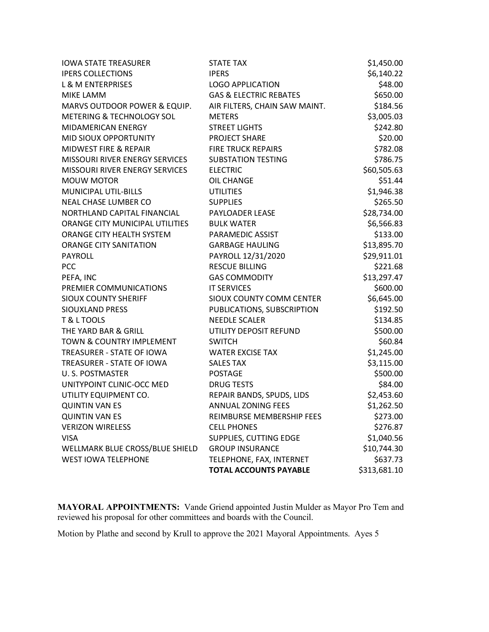| <b>IOWA STATE TREASURER</b>     | STATE TAX                         | \$1,450.00   |
|---------------------------------|-----------------------------------|--------------|
| <b>IPERS COLLECTIONS</b>        | <b>IPERS</b>                      | \$6,140.22   |
| <b>L &amp; M ENTERPRISES</b>    | <b>LOGO APPLICATION</b>           | \$48.00      |
| MIKE LAMM                       | <b>GAS &amp; ELECTRIC REBATES</b> | \$650.00     |
| MARVS OUTDOOR POWER & EQUIP.    | AIR FILTERS, CHAIN SAW MAINT.     | \$184.56     |
| METERING & TECHNOLOGY SOL       | <b>METERS</b>                     | \$3,005.03   |
| MIDAMERICAN ENERGY              | <b>STREET LIGHTS</b>              | \$242.80     |
| MID SIOUX OPPORTUNITY           | PROJECT SHARE                     | \$20.00      |
| MIDWEST FIRE & REPAIR           | <b>FIRE TRUCK REPAIRS</b>         | \$782.08     |
| MISSOURI RIVER ENERGY SERVICES  | <b>SUBSTATION TESTING</b>         | \$786.75     |
| MISSOURI RIVER ENERGY SERVICES  | <b>ELECTRIC</b>                   | \$60,505.63  |
| <b>MOUW MOTOR</b>               | OIL CHANGE                        | \$51.44      |
| MUNICIPAL UTIL-BILLS            | <b>UTILITIES</b>                  | \$1,946.38   |
| NEAL CHASE LUMBER CO            | <b>SUPPLIES</b>                   | \$265.50     |
| NORTHLAND CAPITAL FINANCIAL     | <b>PAYLOADER LEASE</b>            | \$28,734.00  |
| ORANGE CITY MUNICIPAL UTILITIES | <b>BULK WATER</b>                 | \$6,566.83   |
| ORANGE CITY HEALTH SYSTEM       | PARAMEDIC ASSIST                  | \$133.00     |
| <b>ORANGE CITY SANITATION</b>   | <b>GARBAGE HAULING</b>            | \$13,895.70  |
| PAYROLL                         | PAYROLL 12/31/2020                | \$29,911.01  |
| PCC                             | <b>RESCUE BILLING</b>             | \$221.68     |
| PEFA, INC                       | <b>GAS COMMODITY</b>              | \$13,297.47  |
| PREMIER COMMUNICATIONS          | <b>IT SERVICES</b>                | \$600.00     |
| <b>SIOUX COUNTY SHERIFF</b>     | SIOUX COUNTY COMM CENTER          | \$6,645.00   |
| SIOUXLAND PRESS                 | PUBLICATIONS, SUBSCRIPTION        | \$192.50     |
| T & L TOOLS                     | <b>NEEDLE SCALER</b>              | \$134.85     |
| THE YARD BAR & GRILL            | UTILITY DEPOSIT REFUND            | \$500.00     |
| TOWN & COUNTRY IMPLEMENT        | <b>SWITCH</b>                     | \$60.84      |
| TREASURER - STATE OF IOWA       | <b>WATER EXCISE TAX</b>           | \$1,245.00   |
| TREASURER - STATE OF IOWA       | <b>SALES TAX</b>                  | \$3,115.00   |
| U. S. POSTMASTER                | <b>POSTAGE</b>                    | \$500.00     |
| UNITYPOINT CLINIC-OCC MED       | <b>DRUG TESTS</b>                 | \$84.00      |
| UTILITY EQUIPMENT CO.           | REPAIR BANDS, SPUDS, LIDS         | \$2,453.60   |
| <b>QUINTIN VAN ES</b>           | <b>ANNUAL ZONING FEES</b>         | \$1,262.50   |
| <b>QUINTIN VAN ES</b>           | REIMBURSE MEMBERSHIP FEES         | \$273.00     |
| <b>VERIZON WIRELESS</b>         | <b>CELL PHONES</b>                | \$276.87     |
| <b>VISA</b>                     | SUPPLIES, CUTTING EDGE            | \$1,040.56   |
| WELLMARK BLUE CROSS/BLUE SHIELD | <b>GROUP INSURANCE</b>            | \$10,744.30  |
| <b>WEST IOWA TELEPHONE</b>      | TELEPHONE, FAX, INTERNET          | \$637.73     |
|                                 | <b>TOTAL ACCOUNTS PAYABLE</b>     | \$313,681.10 |

**MAYORAL APPOINTMENTS:** Vande Griend appointed Justin Mulder as Mayor Pro Tem and reviewed his proposal for other committees and boards with the Council.

Motion by Plathe and second by Krull to approve the 2021 Mayoral Appointments. Ayes 5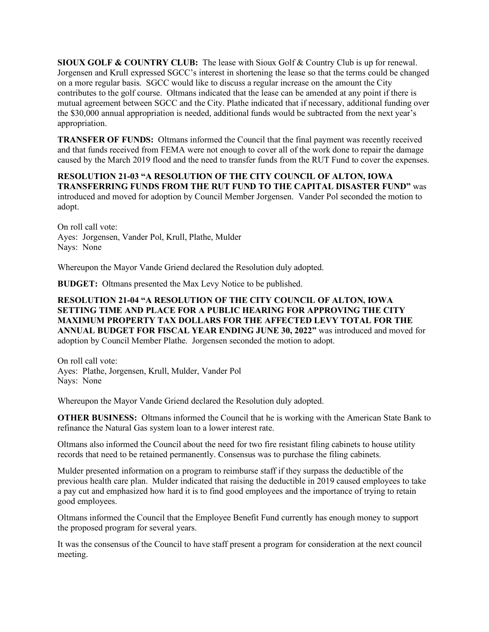**SIOUX GOLF & COUNTRY CLUB:** The lease with Sioux Golf & Country Club is up for renewal. Jorgensen and Krull expressed SGCC's interest in shortening the lease so that the terms could be changed on a more regular basis. SGCC would like to discuss a regular increase on the amount the City contributes to the golf course. Oltmans indicated that the lease can be amended at any point if there is mutual agreement between SGCC and the City. Plathe indicated that if necessary, additional funding over the \$30,000 annual appropriation is needed, additional funds would be subtracted from the next year's appropriation.

**TRANSFER OF FUNDS:** Oltmans informed the Council that the final payment was recently received and that funds received from FEMA were not enough to cover all of the work done to repair the damage caused by the March 2019 flood and the need to transfer funds from the RUT Fund to cover the expenses.

**RESOLUTION 21-03 "A RESOLUTION OF THE CITY COUNCIL OF ALTON, IOWA TRANSFERRING FUNDS FROM THE RUT FUND TO THE CAPITAL DISASTER FUND"** was introduced and moved for adoption by Council Member Jorgensen. Vander Pol seconded the motion to adopt.

On roll call vote: Ayes: Jorgensen, Vander Pol, Krull, Plathe, Mulder Nays: None

Whereupon the Mayor Vande Griend declared the Resolution duly adopted.

**BUDGET:** Oltmans presented the Max Levy Notice to be published.

**RESOLUTION 21-04 "A RESOLUTION OF THE CITY COUNCIL OF ALTON, IOWA SETTING TIME AND PLACE FOR A PUBLIC HEARING FOR APPROVING THE CITY MAXIMUM PROPERTY TAX DOLLARS FOR THE AFFECTED LEVY TOTAL FOR THE ANNUAL BUDGET FOR FISCAL YEAR ENDING JUNE 30, 2022"** was introduced and moved for adoption by Council Member Plathe. Jorgensen seconded the motion to adopt.

On roll call vote: Ayes: Plathe, Jorgensen, Krull, Mulder, Vander Pol Nays: None

Whereupon the Mayor Vande Griend declared the Resolution duly adopted.

**OTHER BUSINESS:** Oltmans informed the Council that he is working with the American State Bank to refinance the Natural Gas system loan to a lower interest rate.

Oltmans also informed the Council about the need for two fire resistant filing cabinets to house utility records that need to be retained permanently. Consensus was to purchase the filing cabinets.

Mulder presented information on a program to reimburse staff if they surpass the deductible of the previous health care plan. Mulder indicated that raising the deductible in 2019 caused employees to take a pay cut and emphasized how hard it is to find good employees and the importance of trying to retain good employees.

Oltmans informed the Council that the Employee Benefit Fund currently has enough money to support the proposed program for several years.

It was the consensus of the Council to have staff present a program for consideration at the next council meeting.